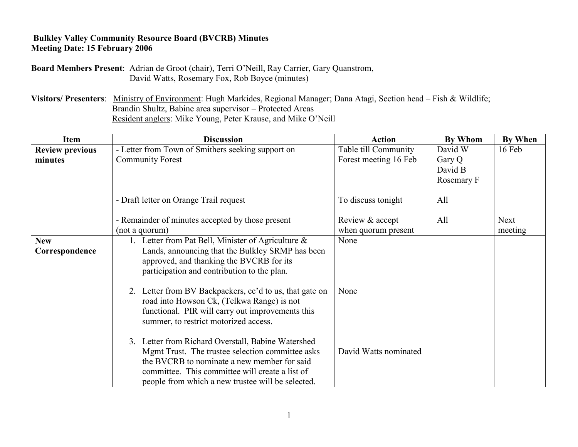## **Bulkley Valley Community Resource Board (BVCRB) Minutes Meeting Date: 15 February 2006**

**Board Members Present**: Adrian de Groot (chair), Terri O"Neill, Ray Carrier, Gary Quanstrom, David Watts, Rosemary Fox, Rob Boyce (minutes)

**Visitors/ Presenters**: Ministry of Environment: Hugh Markides, Regional Manager; Dana Atagi, Section head – Fish & Wildlife; Brandin Shultz, Babine area supervisor – Protected Areas Resident anglers: Mike Young, Peter Krause, and Mike O"Neill

| <b>Item</b>                  | <b>Discussion</b>                                                                                                                                                                                                                                               | <b>Action</b>         | <b>By Whom</b>                  | <b>By When</b> |
|------------------------------|-----------------------------------------------------------------------------------------------------------------------------------------------------------------------------------------------------------------------------------------------------------------|-----------------------|---------------------------------|----------------|
| <b>Review previous</b>       | - Letter from Town of Smithers seeking support on                                                                                                                                                                                                               | Table till Community  | David W                         | 16 Feb         |
| minutes                      | <b>Community Forest</b>                                                                                                                                                                                                                                         | Forest meeting 16 Feb | Gary Q<br>David B<br>Rosemary F |                |
|                              | - Draft letter on Orange Trail request                                                                                                                                                                                                                          | To discuss tonight    | All                             |                |
|                              | - Remainder of minutes accepted by those present                                                                                                                                                                                                                | Review & accept       | All                             | <b>Next</b>    |
|                              | (not a quorum)                                                                                                                                                                                                                                                  | when quorum present   |                                 | meeting        |
| <b>New</b><br>Correspondence | 1. Letter from Pat Bell, Minister of Agriculture $\&$<br>Lands, announcing that the Bulkley SRMP has been<br>approved, and thanking the BVCRB for its<br>participation and contribution to the plan.<br>2. Letter from BV Backpackers, cc'd to us, that gate on | None<br>None          |                                 |                |
|                              | road into Howson Ck, (Telkwa Range) is not<br>functional. PIR will carry out improvements this<br>summer, to restrict motorized access.                                                                                                                         |                       |                                 |                |
|                              | 3. Letter from Richard Overstall, Babine Watershed<br>Mgmt Trust. The trustee selection committee asks<br>the BVCRB to nominate a new member for said<br>committee. This committee will create a list of<br>people from which a new trustee will be selected.   | David Watts nominated |                                 |                |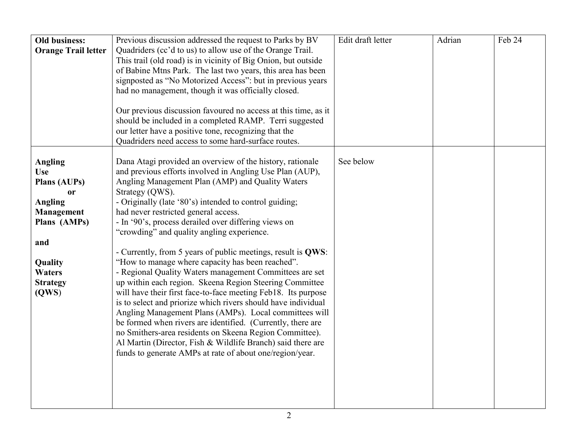| <b>Old business:</b><br><b>Orange Trail letter</b>                                                                                                                                  | Previous discussion addressed the request to Parks by BV<br>Quadriders (cc'd to us) to allow use of the Orange Trail.<br>This trail (old road) is in vicinity of Big Onion, but outside<br>of Babine Mtns Park. The last two years, this area has been<br>signposted as "No Motorized Access": but in previous years<br>had no management, though it was officially closed.<br>Our previous discussion favoured no access at this time, as it<br>should be included in a completed RAMP. Terri suggested<br>our letter have a positive tone, recognizing that the<br>Quadriders need access to some hard-surface routes.                                                                                                                                                                                                                                                                                                                                                                                                                                                                        | Edit draft letter | Adrian | Feb 24 |
|-------------------------------------------------------------------------------------------------------------------------------------------------------------------------------------|-------------------------------------------------------------------------------------------------------------------------------------------------------------------------------------------------------------------------------------------------------------------------------------------------------------------------------------------------------------------------------------------------------------------------------------------------------------------------------------------------------------------------------------------------------------------------------------------------------------------------------------------------------------------------------------------------------------------------------------------------------------------------------------------------------------------------------------------------------------------------------------------------------------------------------------------------------------------------------------------------------------------------------------------------------------------------------------------------|-------------------|--------|--------|
| <b>Angling</b><br><b>Use</b><br>Plans (AUPs)<br><sub>or</sub><br><b>Angling</b><br><b>Management</b><br>Plans (AMPs)<br>and<br>Quality<br><b>Waters</b><br><b>Strategy</b><br>(QWS) | Dana Atagi provided an overview of the history, rationale<br>and previous efforts involved in Angling Use Plan (AUP),<br>Angling Management Plan (AMP) and Quality Waters<br>Strategy (QWS).<br>- Originally (late '80's) intended to control guiding;<br>had never restricted general access.<br>- In '90's, process derailed over differing views on<br>"crowding" and quality angling experience.<br>- Currently, from 5 years of public meetings, result is QWS:<br>"How to manage where capacity has been reached".<br>- Regional Quality Waters management Committees are set<br>up within each region. Skeena Region Steering Committee<br>will have their first face-to-face meeting Feb18. Its purpose<br>is to select and priorize which rivers should have individual<br>Angling Management Plans (AMPs). Local committees will<br>be formed when rivers are identified. (Currently, there are<br>no Smithers-area residents on Skeena Region Committee).<br>Al Martin (Director, Fish & Wildlife Branch) said there are<br>funds to generate AMPs at rate of about one/region/year. | See below         |        |        |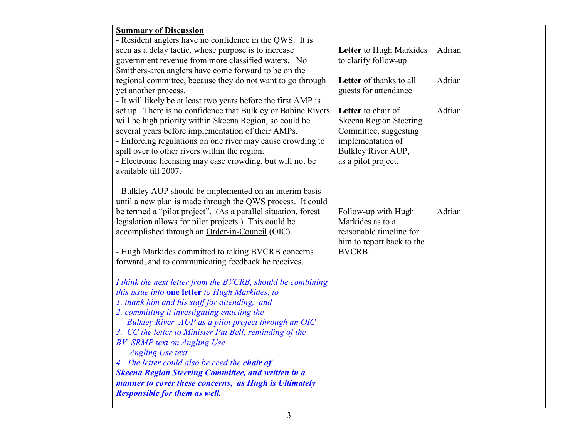| <b>Summary of Discussion</b>                                   |                           |        |  |
|----------------------------------------------------------------|---------------------------|--------|--|
| - Resident anglers have no confidence in the QWS. It is        |                           |        |  |
| seen as a delay tactic, whose purpose is to increase           | Letter to Hugh Markides   | Adrian |  |
| government revenue from more classified waters. No             | to clarify follow-up      |        |  |
| Smithers-area anglers have come forward to be on the           |                           |        |  |
| regional committee, because they do not want to go through     | Letter of thanks to all   | Adrian |  |
| yet another process.                                           | guests for attendance     |        |  |
| - It will likely be at least two years before the first AMP is |                           |        |  |
| set up. There is no confidence that Bulkley or Babine Rivers   | Letter to chair of        | Adrian |  |
| will be high priority within Skeena Region, so could be        | Skeena Region Steering    |        |  |
| several years before implementation of their AMPs.             | Committee, suggesting     |        |  |
| - Enforcing regulations on one river may cause crowding to     | implementation of         |        |  |
| spill over to other rivers within the region.                  | Bulkley River AUP,        |        |  |
| - Electronic licensing may ease crowding, but will not be      | as a pilot project.       |        |  |
| available till 2007.                                           |                           |        |  |
|                                                                |                           |        |  |
| - Bulkley AUP should be implemented on an interim basis        |                           |        |  |
| until a new plan is made through the QWS process. It could     |                           |        |  |
| be termed a "pilot project". (As a parallel situation, forest  | Follow-up with Hugh       | Adrian |  |
| legislation allows for pilot projects.) This could be          | Markides as to a          |        |  |
| accomplished through an Order-in-Council (OIC).                | reasonable timeline for   |        |  |
|                                                                | him to report back to the |        |  |
| - Hugh Markides committed to taking BVCRB concerns             | <b>BVCRB.</b>             |        |  |
| forward, and to communicating feedback he receives.            |                           |        |  |
|                                                                |                           |        |  |
| I think the next letter from the BVCRB, should be combining    |                           |        |  |
| this issue into one letter to Hugh Markides, to                |                           |        |  |
| 1. thank him and his staff for attending, and                  |                           |        |  |
| 2. committing it investigating enacting the                    |                           |        |  |
| Bulkley River AUP as a pilot project through an OIC            |                           |        |  |
| 3. CC the letter to Minister Pat Bell, reminding of the        |                           |        |  |
| <b>BV</b> SRMP text on Angling Use                             |                           |        |  |
| <b>Angling Use text</b>                                        |                           |        |  |
| 4. The letter could also be cced the <b>chair of</b>           |                           |        |  |
| <b>Skeena Region Steering Committee, and written in a</b>      |                           |        |  |
| manner to cover these concerns, as Hugh is Ultimately          |                           |        |  |
| <b>Responsible for them as well.</b>                           |                           |        |  |
|                                                                |                           |        |  |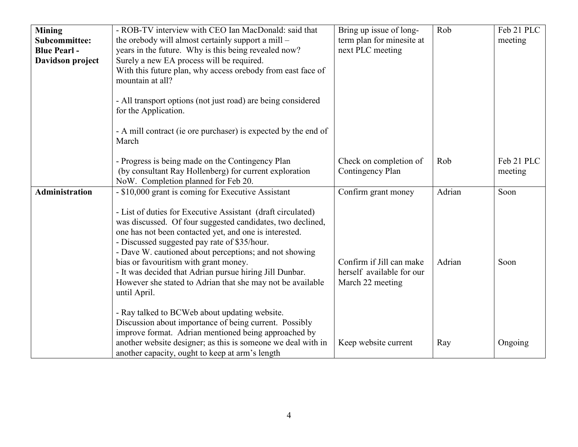| <b>Mining</b><br>Subcommittee:<br><b>Blue Pearl -</b><br>Davidson project | - ROB-TV interview with CEO Ian MacDonald: said that<br>the orebody will almost certainly support a mill –<br>years in the future. Why is this being revealed now?<br>Surely a new EA process will be required.<br>With this future plan, why access orebody from east face of<br>mountain at all?<br>- All transport options (not just road) are being considered<br>for the Application.<br>- A mill contract (ie ore purchaser) is expected by the end of<br>March                                                                                                                                                                              | Bring up issue of long-<br>term plan for minesite at<br>next PLC meeting  | Rob    | Feb 21 PLC<br>meeting |
|---------------------------------------------------------------------------|----------------------------------------------------------------------------------------------------------------------------------------------------------------------------------------------------------------------------------------------------------------------------------------------------------------------------------------------------------------------------------------------------------------------------------------------------------------------------------------------------------------------------------------------------------------------------------------------------------------------------------------------------|---------------------------------------------------------------------------|--------|-----------------------|
|                                                                           | - Progress is being made on the Contingency Plan<br>(by consultant Ray Hollenberg) for current exploration<br>NoW. Completion planned for Feb 20.                                                                                                                                                                                                                                                                                                                                                                                                                                                                                                  | Check on completion of<br>Contingency Plan                                | Rob    | Feb 21 PLC<br>meeting |
| <b>Administration</b>                                                     | - \$10,000 grant is coming for Executive Assistant                                                                                                                                                                                                                                                                                                                                                                                                                                                                                                                                                                                                 | Confirm grant money                                                       | Adrian | Soon                  |
|                                                                           | - List of duties for Executive Assistant (draft circulated)<br>was discussed. Of four suggested candidates, two declined,<br>one has not been contacted yet, and one is interested.<br>- Discussed suggested pay rate of \$35/hour.<br>- Dave W. cautioned about perceptions; and not showing<br>bias or favouritism with grant money.<br>- It was decided that Adrian pursue hiring Jill Dunbar.<br>However she stated to Adrian that she may not be available<br>until April.<br>- Ray talked to BCWeb about updating website.<br>Discussion about importance of being current. Possibly<br>improve format. Adrian mentioned being approached by | Confirm if Jill can make<br>herself available for our<br>March 22 meeting | Adrian | Soon                  |
|                                                                           | another website designer; as this is someone we deal with in<br>another capacity, ought to keep at arm's length                                                                                                                                                                                                                                                                                                                                                                                                                                                                                                                                    | Keep website current                                                      | Ray    | Ongoing               |